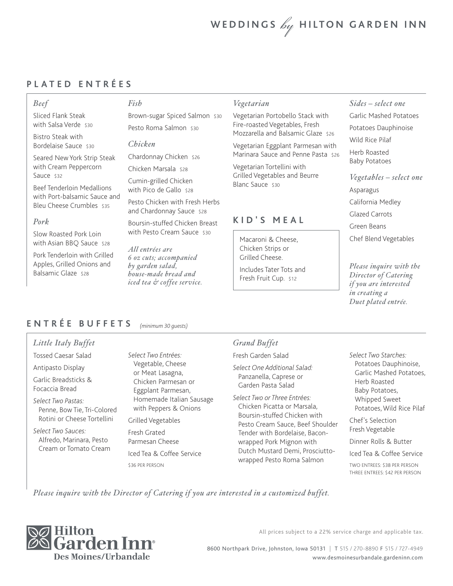# WEDDINGS  $\mathscr{L}_y$  HILTON GARDEN INN

### **PLATED ENTRÉES**

### *Beef*

Sliced Flank Steak with Salsa Verde \$30

Bistro Steak with Bordelaise Sauce \$30

Seared New York Strip Steak with Cream Peppercorn Sauce \$32

Beef Tenderloin Medallions with Port-balsamic Sauce and Bleu Cheese Crumbles \$35

### *Pork*

Slow Roasted Pork Loin with Asian BBQ Sauce \$28

Pork Tenderloin with Grilled Apples, Grilled Onions and Balsamic Glaze \$28

*Fish*

Brown-sugar Spiced Salmon \$30 Pesto Roma Salmon \$30

### *Chicken*

Chardonnay Chicken \$26

Chicken Marsala \$28

Cumin-grilled Chicken with Pico de Gallo \$28

Pesto Chicken with Fresh Herbs and Chardonnay Sauce \$28

Boursin-stuffed Chicken Breast with Pesto Cream Sauce \$30

*All entrées are 6 oz cuts; accompanied by garden salad, house-made bread and iced tea & coffee service.*

### *Vegetarian*

Vegetarian Portobello Stack with Fire-roasted Vegetables, Fresh Mozzarella and Balsamic Glaze \$26

Vegetarian Eggplant Parmesan with Marinara Sauce and Penne Pasta \$26

Vegetarian Tortellini with Grilled Vegetables and Beurre Blanc Sauce \$30

### **KID'S MEAL**

Macaroni & Cheese, Chicken Strips or Grilled Cheese.

Includes Tater Tots and Fresh Fruit Cup. \$12

### *Sides – select one*

Garlic Mashed Potatoes Potatoes Dauphinoise Wild Rice Pilaf

Herb Roasted Baby Potatoes

*Vegetables – select one* Asparagus California Medley Glazed Carrots Green Beans Chef Blend Vegetables

*Please inquire with the Director of Catering if you are interested in creating a Duet plated entrée.*

#### **ENTRÉE BUFFETS** *(minimum 30 guests)*

### *Little Italy Buffet*

Tossed Caesar Salad

Antipasto Display

Garlic Breadsticks & Focaccia Bread

*Select Two Pastas:* Penne, Bow Tie, Tri-Colored Rotini or Cheese Tortellini

*Select Two Sauces:* Alfredo, Marinara, Pesto Cream or Tomato Cream *Select Two Entrées:* Vegetable, Cheese or Meat Lasagna, Chicken Parmesan or Eggplant Parmesan, Homemade Italian Sausage with Peppers & Onions

Grilled Vegetables

Fresh Grated Parmesan Cheese Iced Tea & Coffee Service \$36 PER PERSON

### *Grand Buffet*

Fresh Garden Salad

*Select One Additional Salad:*  Panzanella, Caprese or Garden Pasta Salad

*Select Two or Three Entrées:*  Chicken Picatta or Marsala, Boursin-stuffed Chicken with Pesto Cream Sauce, Beef Shoulder Tender with Bordelaise, Baconwrapped Pork Mignon with Dutch Mustard Demi, Prosciuttowrapped Pesto Roma Salmon

*Select Two Starches:* Potatoes Dauphinoise, Garlic Mashed Potatoes, Herb Roasted Baby Potatoes, Whipped Sweet Potatoes, Wild Rice Pilaf

Chef's Selection Fresh Vegetable

Dinner Rolls & Butter

Iced Tea & Coffee Service

TWO ENTREES: \$38 PER PERSON THREE ENTREES: \$42 PER PERSON

*Please inquire with the Director of Catering if you are interested in a customized buffet.*



All prices subject to a 22% service charge and applicable tax.

8600 Northpark Drive, Johnston, Iowa 50131 | T 515 / 270-8890 F 515 / 727-4949 www.desmoinesurbandale.gardeninn.com